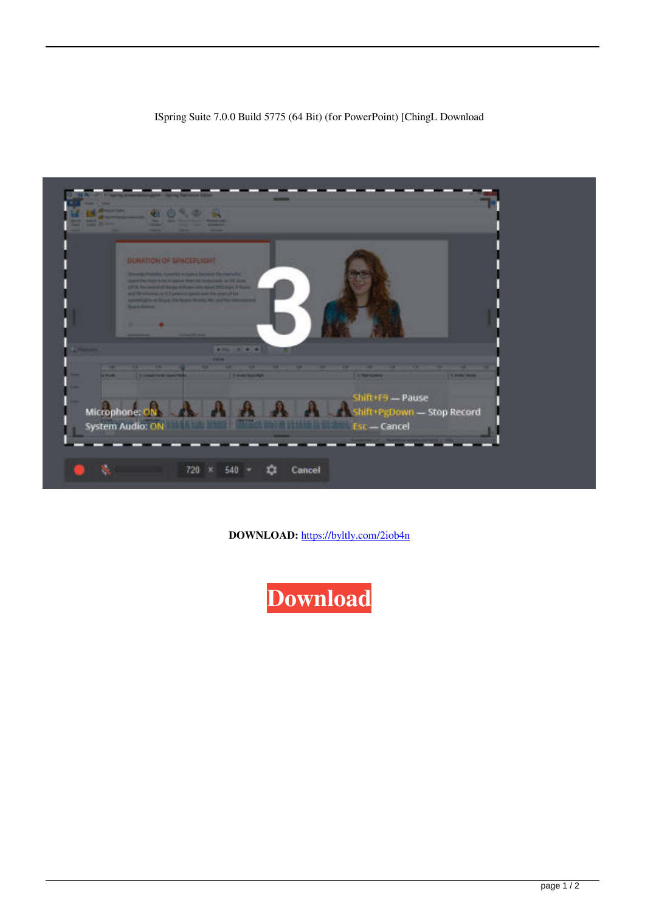## ISpring Suite 7.0.0 Build 5775 (64 Bit) (for PowerPoint) [ChingL Download



**DOWNLOAD:** <https://byltly.com/2iob4n>